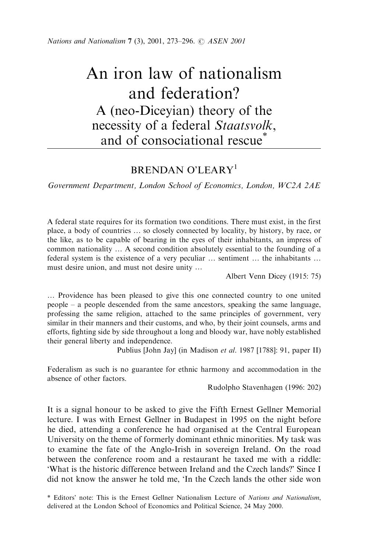# An iron law of nationalism and federation? A (neo-Diceyian) theory of the necessity of a federal Staatsvolk, and of consociational rescue<sup>\*</sup>

## BRENDAN O'LEARY<sup>1</sup>

Government Department, London School of Economics, London, WC2A 2AE

A federal state requires for its formation two conditions. There must exist, in the first place, a body of countries ... so closely connected by locality, by history, by race, or the like, as to be capable of bearing in the eyes of their inhabitants, an impress of common nationality ... A second condition absolutely essential to the founding of a federal system is the existence of a very peculiar  $\ldots$  sentiment  $\ldots$  the inhabitants  $\ldots$ must desire union, and must not desire unity ...

Albert Venn Dicey (1915: 75)

... Providence has been pleased to give this one connected country to one united people  $-\alpha$  people descended from the same ancestors, speaking the same language, professing the same religion, attached to the same principles of government, very similar in their manners and their customs, and who, by their joint counsels, arms and efforts, fighting side by side throughout a long and bloody war, have nobly established their general liberty and independence.

Publius [John Jay] (in Madison et al. 1987 [1788]: 91, paper II)

Federalism as such is no guarantee for ethnic harmony and accommodation in the absence of other factors.

Rudolpho Stavenhagen (1996: 202)

It is a signal honour to be asked to give the Fifth Ernest Gellner Memorial lecture. I was with Ernest Gellner in Budapest in 1995 on the night before he died, attending a conference he had organised at the Central European University on the theme of formerly dominant ethnic minorities. My task was to examine the fate of the Anglo-Irish in sovereign Ireland. On the road between the conference room and a restaurant he taxed me with a riddle: `What is the historic difference between Ireland and the Czech lands?' Since I did not know the answer he told me, 'In the Czech lands the other side won

<sup>\*</sup> Editors' note: This is the Ernest Gellner Nationalism Lecture of Nations and Nationalism, delivered at the London School of Economics and Political Science, 24 May 2000.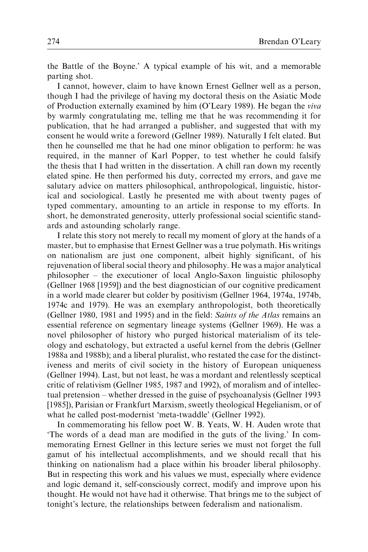the Battle of the Boyne.' A typical example of his wit, and a memorable parting shot.

I cannot, however, claim to have known Ernest Gellner well as a person, though I had the privilege of having my doctoral thesis on the Asiatic Mode of Production externally examined by him (O'Leary 1989). He began the viva by warmly congratulating me, telling me that he was recommending it for publication, that he had arranged a publisher, and suggested that with my consent he would write a foreword (Gellner 1989). Naturally I felt elated. But then he counselled me that he had one minor obligation to perform: he was required, in the manner of Karl Popper, to test whether he could falsify the thesis that I had written in the dissertation. A chill ran down my recently elated spine. He then performed his duty, corrected my errors, and gave me salutary advice on matters philosophical, anthropological, linguistic, historical and sociological. Lastly he presented me with about twenty pages of typed commentary, amounting to an article in response to my efforts. In short, he demonstrated generosity, utterly professional social scientific standards and astounding scholarly range.

I relate this story not merely to recall my moment of glory at the hands of a master, but to emphasise that Ernest Gellner was a true polymath. His writings on nationalism are just one component, albeit highly significant, of his rejuvenation of liberal social theory and philosophy. He was a major analytical  $philosopher - the executioner of local Anglo-Saxon linguistic philosophy$ (Gellner 1968 [1959]) and the best diagnostician of our cognitive predicament in a world made clearer but colder by positivism (Gellner 1964, 1974a, 1974b, 1974c and 1979). He was an exemplary anthropologist, both theoretically (Gellner 1980, 1981 and 1995) and in the field: Saints of the Atlas remains an essential reference on segmentary lineage systems (Gellner 1969). He was a novel philosopher of history who purged historical materialism of its teleology and eschatology, but extracted a useful kernel from the debris (Gellner 1988a and 1988b); and a liberal pluralist, who restated the case for the distinctiveness and merits of civil society in the history of European uniqueness (Gellner 1994). Last, but not least, he was a mordant and relentlessly sceptical critic of relativism (Gellner 1985, 1987 and 1992), of moralism and of intellectual pretension – whether dressed in the guise of psychoanalysis (Gellner 1993 [1985]), Parisian or Frankfurt Marxism, sweetly theological Hegelianism, or of what he called post-modernist 'meta-twaddle' (Gellner 1992).

In commemorating his fellow poet W. B. Yeats, W. H. Auden wrote that `The words of a dead man are modified in the guts of the living.' In commemorating Ernest Gellner in this lecture series we must not forget the full gamut of his intellectual accomplishments, and we should recall that his thinking on nationalism had a place within his broader liberal philosophy. But in respecting this work and his values we must, especially where evidence and logic demand it, self-consciously correct, modify and improve upon his thought. He would not have had it otherwise. That brings me to the subject of tonight's lecture, the relationships between federalism and nationalism.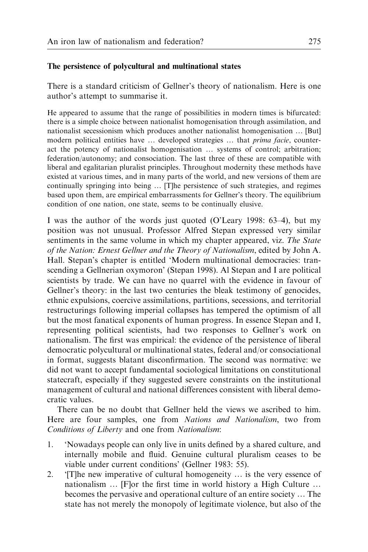### The persistence of polycultural and multinational states

There is a standard criticism of Gellner's theory of nationalism. Here is one author's attempt to summarise it.

He appeared to assume that the range of possibilities in modern times is bifurcated: there is a simple choice between nationalist homogenisation through assimilation, and nationalist secessionism which produces another nationalist homogenisation ... [But] modern political entities have ... developed strategies ... that *prima facie*, counteract the potency of nationalist homogenisation ... systems of control; arbitration; federation/autonomy; and consociation. The last three of these are compatible with liberal and egalitarian pluralist principles. Throughout modernity these methods have existed at various times, and in many parts of the world, and new versions of them are continually springing into being ... [T]he persistence of such strategies, and regimes based upon them, are empirical embarrassments for Gellner's theory. The equilibrium condition of one nation, one state, seems to be continually elusive.

I was the author of the words just quoted (O'Leary 1998:  $63-4$ ), but my position was not unusual. Professor Alfred Stepan expressed very similar sentiments in the same volume in which my chapter appeared, viz. The State of the Nation: Ernest Gellner and the Theory of Nationalism, edited by John A. Hall. Stepan's chapter is entitled `Modern multinational democracies: transcending a Gellnerian oxymoron' (Stepan 1998). Al Stepan and I are political scientists by trade. We can have no quarrel with the evidence in favour of Gellner's theory: in the last two centuries the bleak testimony of genocides, ethnic expulsions, coercive assimilations, partitions, secessions, and territorial restructurings following imperial collapses has tempered the optimism of all but the most fanatical exponents of human progress. In essence Stepan and I, representing political scientists, had two responses to Gellner's work on nationalism. The first was empirical: the evidence of the persistence of liberal democratic polycultural or multinational states, federal and/or consociational in format, suggests blatant disconfirmation. The second was normative: we did not want to accept fundamental sociological limitations on constitutional statecraft, especially if they suggested severe constraints on the institutional management of cultural and national differences consistent with liberal democratic values.

There can be no doubt that Gellner held the views we ascribed to him. Here are four samples, one from Nations and Nationalism, two from Conditions of Liberty and one from Nationalism:

- 1. 'Nowadays people can only live in units defined by a shared culture, and internally mobile and fluid. Genuine cultural pluralism ceases to be viable under current conditions' (Gellner 1983: 55).
- 2.  $T$ [T]he new imperative of cultural homogeneity  $\ldots$  is the very essence of nationalism  $\ldots$  [F]or the first time in world history a High Culture  $\ldots$ becomes the pervasive and operational culture of an entire society ... The state has not merely the monopoly of legitimate violence, but also of the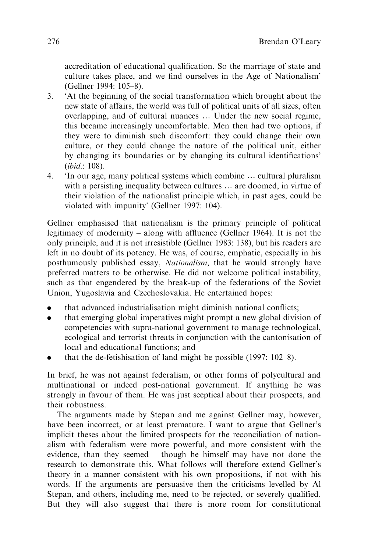accreditation of educational qualification. So the marriage of state and culture takes place, and we find ourselves in the Age of Nationalism' (Gellner 1994: 105-8).

- 3. `At the beginning of the social transformation which brought about the new state of affairs, the world was full of political units of all sizes, often overlapping, and of cultural nuances ... Under the new social regime, this became increasingly uncomfortable. Men then had two options, if they were to diminish such discomfort: they could change their own culture, or they could change the nature of the political unit, either by changing its boundaries or by changing its cultural identifications' (ibid.: 108).
- 4. 'In our age, many political systems which combine ... cultural pluralism with a persisting inequality between cultures ... are doomed, in virtue of their violation of the nationalist principle which, in past ages, could be violated with impunity' (Gellner 1997: 104).

Gellner emphasised that nationalism is the primary principle of political legitimacy of modernity  $-$  along with affluence (Gellner 1964). It is not the only principle, and it is not irresistible (Gellner 1983: 138), but his readers are left in no doubt of its potency. He was, of course, emphatic, especially in his posthumously published essay, Nationalism, that he would strongly have preferred matters to be otherwise. He did not welcome political instability, such as that engendered by the break-up of the federations of the Soviet Union, Yugoslavia and Czechoslovakia. He entertained hopes:

- . that advanced industrialisation might diminish national conflicts;
- . that emerging global imperatives might prompt a new global division of competencies with supra-national government to manage technological, ecological and terrorist threats in conjunction with the cantonisation of local and educational functions; and
- that the de-fetishisation of land might be possible  $(1997: 102–8)$ .

In brief, he was not against federalism, or other forms of polycultural and multinational or indeed post-national government. If anything he was strongly in favour of them. He was just sceptical about their prospects, and their robustness.

The arguments made by Stepan and me against Gellner may, however, have been incorrect, or at least premature. I want to argue that Gellner's implicit theses about the limited prospects for the reconciliation of nationalism with federalism were more powerful, and more consistent with the evidence, than they seemed - though he himself may have not done the research to demonstrate this. What follows will therefore extend Gellner's theory in a manner consistent with his own propositions, if not with his words. If the arguments are persuasive then the criticisms levelled by Al Stepan, and others, including me, need to be rejected, or severely qualified. But they will also suggest that there is more room for constitutional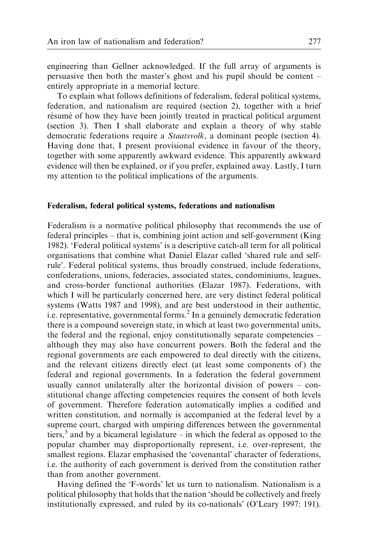engineering than Gellner acknowledged. If the full array of arguments is persuasive then both the master's ghost and his pupil should be content  $$ entirely appropriate in a memorial lecture.

To explain what follows definitions of federalism, federal political systems, federation, and nationalism are required (section 2), together with a brief résumé of how they have been jointly treated in practical political argument (section 3). Then I shall elaborate and explain a theory of why stable democratic federations require a Staatsvolk, a dominant people (section 4). Having done that, I present provisional evidence in favour of the theory, together with some apparently awkward evidence. This apparently awkward evidence will then be explained, or if you prefer, explained away. Lastly, I turn my attention to the political implications of the arguments.

#### Federalism, federal political systems, federations and nationalism

Federalism is a normative political philosophy that recommends the use of federal principles – that is, combining joint action and self-government (King 1982). `Federal political systems' is a descriptive catch-all term for all political organisations that combine what Daniel Elazar called `shared rule and selfrule'. Federal political systems, thus broadly construed, include federations, confederations, unions, federacies, associated states, condominiums, leagues, and cross-border functional authorities (Elazar 1987). Federations, with which I will be particularly concerned here, are very distinct federal political systems (Watts 1987 and 1998), and are best understood in their authentic, i.e. representative, governmental forms. $<sup>2</sup>$  In a genuinely democratic federation</sup> there is a compound sovereign state, in which at least two governmental units, the federal and the regional, enjoy constitutionally separate competencies  $$ although they may also have concurrent powers. Both the federal and the regional governments are each empowered to deal directly with the citizens, and the relevant citizens directly elect (at least some components of) the federal and regional governments. In a federation the federal government usually cannot unilaterally alter the horizontal division of powers  $-$  constitutional change affecting competencies requires the consent of both levels of government. Therefore federation automatically implies a codified and written constitution, and normally is accompanied at the federal level by a supreme court, charged with umpiring differences between the governmental tiers,<sup>3</sup> and by a bicameral legislature  $-\text{ in which the federal as opposed to the}$ popular chamber may disproportionally represent, i.e. over-represent, the smallest regions. Elazar emphasised the 'covenantal' character of federations, i.e. the authority of each government is derived from the constitution rather than from another government.

Having defined the `F-words' let us turn to nationalism. Nationalism is a political philosophy that holds that the nation `should be collectively and freely institutionally expressed, and ruled by its co-nationals' (O'Leary 1997: 191).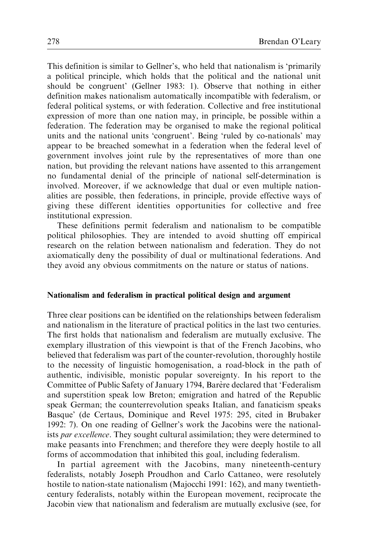This definition is similar to Gellner's, who held that nationalism is `primarily a political principle, which holds that the political and the national unit should be congruent' (Gellner 1983: 1). Observe that nothing in either definition makes nationalism automatically incompatible with federalism, or federal political systems, or with federation. Collective and free institutional expression of more than one nation may, in principle, be possible within a federation. The federation may be organised to make the regional political units and the national units `congruent'. Being `ruled by co-nationals' may appear to be breached somewhat in a federation when the federal level of government involves joint rule by the representatives of more than one nation, but providing the relevant nations have assented to this arrangement no fundamental denial of the principle of national self-determination is involved. Moreover, if we acknowledge that dual or even multiple nationalities are possible, then federations, in principle, provide effective ways of giving these different identities opportunities for collective and free institutional expression.

These definitions permit federalism and nationalism to be compatible political philosophies. They are intended to avoid shutting off empirical research on the relation between nationalism and federation. They do not axiomatically deny the possibility of dual or multinational federations. And they avoid any obvious commitments on the nature or status of nations.

#### Nationalism and federalism in practical political design and argument

Three clear positions can be identified on the relationships between federalism and nationalism in the literature of practical politics in the last two centuries. The first holds that nationalism and federalism are mutually exclusive. The exemplary illustration of this viewpoint is that of the French Jacobins, who believed that federalism was part of the counter-revolution, thoroughly hostile to the necessity of linguistic homogenisation, a road-block in the path of authentic, indivisible, monistic popular sovereignty. In his report to the Committee of Public Safety of January 1794, Barère declared that 'Federalism and superstition speak low Breton; emigration and hatred of the Republic speak German; the counterrevolution speaks Italian, and fanaticism speaks Basque' (de Certaus, Dominique and Revel 1975: 295, cited in Brubaker 1992: 7). On one reading of Gellner's work the Jacobins were the nationalists par excellence. They sought cultural assimilation; they were determined to make peasants into Frenchmen; and therefore they were deeply hostile to all forms of accommodation that inhibited this goal, including federalism.

In partial agreement with the Jacobins, many nineteenth-century federalists, notably Joseph Proudhon and Carlo Cattaneo, were resolutely hostile to nation-state nationalism (Majocchi 1991: 162), and many twentiethcentury federalists, notably within the European movement, reciprocate the Jacobin view that nationalism and federalism are mutually exclusive (see, for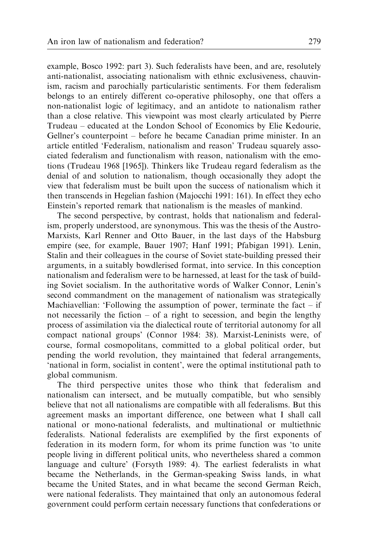example, Bosco 1992: part 3). Such federalists have been, and are, resolutely anti-nationalist, associating nationalism with ethnic exclusiveness, chauvinism, racism and parochially particularistic sentiments. For them federalism belongs to an entirely different co-operative philosophy, one that offers a non-nationalist logic of legitimacy, and an antidote to nationalism rather than a close relative. This viewpoint was most clearly articulated by Pierre Trudeau – educated at the London School of Economics by Elie Kedourie, Gellner's counterpoint – before he became Canadian prime minister. In an article entitled `Federalism, nationalism and reason' Trudeau squarely associated federalism and functionalism with reason, nationalism with the emotions (Trudeau 1968 [1965]). Thinkers like Trudeau regard federalism as the denial of and solution to nationalism, though occasionally they adopt the view that federalism must be built upon the success of nationalism which it then transcends in Hegelian fashion (Majocchi 1991: 161). In effect they echo Einstein's reported remark that nationalism is the measles of mankind.

The second perspective, by contrast, holds that nationalism and federalism, properly understood, are synonymous. This was the thesis of the Austro-Marxists, Karl Renner and Otto Bauer, in the last days of the Habsburg empire (see, for example, Bauer 1907; Hanf 1991; Pfabigan 1991). Lenin, Stalin and their colleagues in the course of Soviet state-building pressed their arguments, in a suitably bowdlerised format, into service. In this conception nationalism and federalism were to be harnessed, at least for the task of building Soviet socialism. In the authoritative words of Walker Connor, Lenin's second commandment on the management of nationalism was strategically Machiavellian: 'Following the assumption of power, terminate the fact  $-$  if not necessarily the fiction  $-$  of a right to secession, and begin the lengthy process of assimilation via the dialectical route of territorial autonomy for all compact national groups' (Connor 1984: 38). Marxist-Leninists were, of course, formal cosmopolitans, committed to a global political order, but pending the world revolution, they maintained that federal arrangements, `national in form, socialist in content', were the optimal institutional path to global communism.

The third perspective unites those who think that federalism and nationalism can intersect, and be mutually compatible, but who sensibly believe that not all nationalisms are compatible with all federalisms. But this agreement masks an important difference, one between what I shall call national or mono-national federalists, and multinational or multiethnic federalists. National federalists are exemplified by the first exponents of federation in its modern form, for whom its prime function was `to unite people living in different political units, who nevertheless shared a common language and culture' (Forsyth 1989: 4). The earliest federalists in what became the Netherlands, in the German-speaking Swiss lands, in what became the United States, and in what became the second German Reich, were national federalists. They maintained that only an autonomous federal government could perform certain necessary functions that confederations or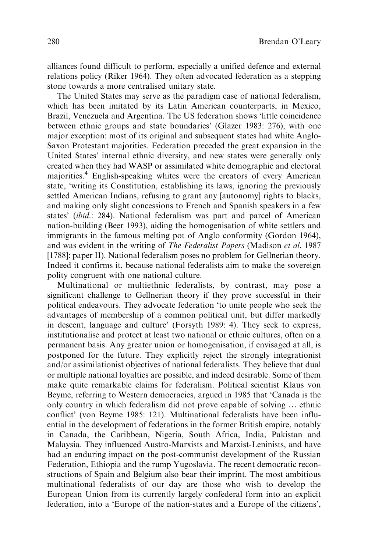alliances found difficult to perform, especially a unified defence and external relations policy (Riker 1964). They often advocated federation as a stepping stone towards a more centralised unitary state.

The United States may serve as the paradigm case of national federalism, which has been imitated by its Latin American counterparts, in Mexico, Brazil, Venezuela and Argentina. The US federation shows 'little coincidence between ethnic groups and state boundaries' (Glazer 1983: 276), with one major exception: most of its original and subsequent states had white Anglo-Saxon Protestant majorities. Federation preceded the great expansion in the United States' internal ethnic diversity, and new states were generally only created when they had WASP or assimilated white demographic and electoral majorities.4 English-speaking whites were the creators of every American state, `writing its Constitution, establishing its laws, ignoring the previously settled American Indians, refusing to grant any [autonomy] rights to blacks, and making only slight concessions to French and Spanish speakers in a few states' (ibid.: 284). National federalism was part and parcel of American nation-building (Beer 1993), aiding the homogenisation of white settlers and immigrants in the famous melting pot of Anglo conformity (Gordon 1964), and was evident in the writing of The Federalist Papers (Madison et al. 1987 [1788]: paper II). National federalism poses no problem for Gellnerian theory. Indeed it confirms it, because national federalists aim to make the sovereign polity congruent with one national culture.

Multinational or multiethnic federalists, by contrast, may pose a significant challenge to Gellnerian theory if they prove successful in their political endeavours. They advocate federation `to unite people who seek the advantages of membership of a common political unit, but differ markedly in descent, language and culture' (Forsyth 1989: 4). They seek to express, institutionalise and protect at least two national or ethnic cultures, often on a permanent basis. Any greater union or homogenisation, if envisaged at all, is postponed for the future. They explicitly reject the strongly integrationist and/or assimilationist objectives of national federalists. They believe that dual or multiple national loyalties are possible, and indeed desirable. Some of them make quite remarkable claims for federalism. Political scientist Klaus von Beyme, referring to Western democracies, argued in 1985 that 'Canada is the only country in which federalism did not prove capable of solving ... ethnic conflict' (von Beyme 1985: 121). Multinational federalists have been influential in the development of federations in the former British empire, notably in Canada, the Caribbean, Nigeria, South Africa, India, Pakistan and Malaysia. They influenced Austro-Marxists and Marxist-Leninists, and have had an enduring impact on the post-communist development of the Russian Federation, Ethiopia and the rump Yugoslavia. The recent democratic reconstructions of Spain and Belgium also bear their imprint. The most ambitious multinational federalists of our day are those who wish to develop the European Union from its currently largely confederal form into an explicit federation, into a `Europe of the nation-states and a Europe of the citizens',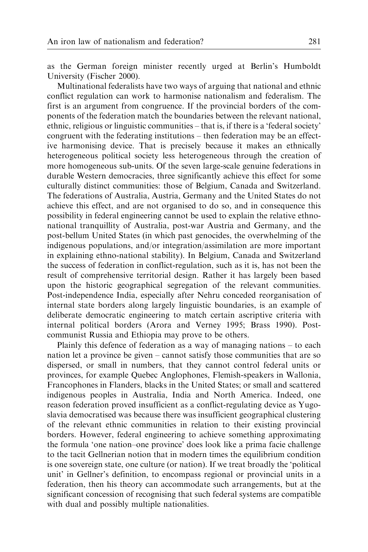as the German foreign minister recently urged at Berlin's Humboldt University (Fischer 2000).

Multinational federalists have two ways of arguing that national and ethnic conflict regulation can work to harmonise nationalism and federalism. The first is an argument from congruence. If the provincial borders of the components of the federation match the boundaries between the relevant national, ethnic, religious or linguistic communities  $-\text{ that is, if there is a 'federal society'}$ congruent with the federating institutions  $-$  then federation may be an effective harmonising device. That is precisely because it makes an ethnically heterogeneous political society less heterogeneous through the creation of more homogeneous sub-units. Of the seven large-scale genuine federations in durable Western democracies, three significantly achieve this effect for some culturally distinct communities: those of Belgium, Canada and Switzerland. The federations of Australia, Austria, Germany and the United States do not achieve this effect, and are not organised to do so, and in consequence this possibility in federal engineering cannot be used to explain the relative ethnonational tranquillity of Australia, post-war Austria and Germany, and the post-bellum United States (in which past genocides, the overwhelming of the indigenous populations, and/or integration/assimilation are more important in explaining ethno-national stability). In Belgium, Canada and Switzerland the success of federation in conflict-regulation, such as it is, has not been the result of comprehensive territorial design. Rather it has largely been based upon the historic geographical segregation of the relevant communities. Post-independence India, especially after Nehru conceded reorganisation of internal state borders along largely linguistic boundaries, is an example of deliberate democratic engineering to match certain ascriptive criteria with internal political borders (Arora and Verney 1995; Brass 1990). Postcommunist Russia and Ethiopia may prove to be others.

Plainly this defence of federation as a way of managing nations  $-$  to each nation let a province be given  $-\text{cannot satisfy those communities that are so}$ dispersed, or small in numbers, that they cannot control federal units or provinces, for example Quebec Anglophones, Flemish-speakers in Wallonia, Francophones in Flanders, blacks in the United States; or small and scattered indigenous peoples in Australia, India and North America. Indeed, one reason federation proved insufficient as a conflict-regulating device as Yugoslavia democratised was because there was insufficient geographical clustering of the relevant ethnic communities in relation to their existing provincial borders. However, federal engineering to achieve something approximating the formula 'one nation-one province' does look like a prima facie challenge to the tacit Gellnerian notion that in modern times the equilibrium condition is one sovereign state, one culture (or nation). If we treat broadly the `political unit' in Gellner's definition, to encompass regional or provincial units in a federation, then his theory can accommodate such arrangements, but at the significant concession of recognising that such federal systems are compatible with dual and possibly multiple nationalities.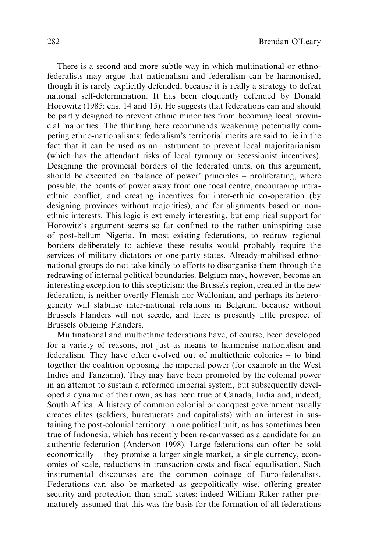There is a second and more subtle way in which multinational or ethnofederalists may argue that nationalism and federalism can be harmonised, though it is rarely explicitly defended, because it is really a strategy to defeat national self-determination. It has been eloquently defended by Donald Horowitz (1985: chs. 14 and 15). He suggests that federations can and should be partly designed to prevent ethnic minorities from becoming local provincial majorities. The thinking here recommends weakening potentially competing ethno-nationalisms: federalism's territorial merits are said to lie in the fact that it can be used as an instrument to prevent local majoritarianism (which has the attendant risks of local tyranny or secessionist incentives). Designing the provincial borders of the federated units, on this argument, should be executed on 'balance of power' principles  $-$  proliferating, where possible, the points of power away from one focal centre, encouraging intraethnic conflict, and creating incentives for inter-ethnic co-operation (by designing provinces without majorities), and for alignments based on nonethnic interests. This logic is extremely interesting, but empirical support for Horowitz's argument seems so far confined to the rather uninspiring case of post-bellum Nigeria. In most existing federations, to redraw regional borders deliberately to achieve these results would probably require the services of military dictators or one-party states. Already-mobilised ethnonational groups do not take kindly to efforts to disorganise them through the redrawing of internal political boundaries. Belgium may, however, become an interesting exception to this scepticism: the Brussels region, created in the new federation, is neither overtly Flemish nor Wallonian, and perhaps its heterogeneity will stabilise inter-national relations in Belgium, because without Brussels Flanders will not secede, and there is presently little prospect of Brussels obliging Flanders.

Multinational and multiethnic federations have, of course, been developed for a variety of reasons, not just as means to harmonise nationalism and federalism. They have often evolved out of multiethnic colonies  $-$  to bind together the coalition opposing the imperial power (for example in the West Indies and Tanzania). They may have been promoted by the colonial power in an attempt to sustain a reformed imperial system, but subsequently developed a dynamic of their own, as has been true of Canada, India and, indeed, South Africa. A history of common colonial or conquest government usually creates elites (soldiers, bureaucrats and capitalists) with an interest in sustaining the post-colonial territory in one political unit, as has sometimes been true of Indonesia, which has recently been re-canvassed as a candidate for an authentic federation (Anderson 1998). Large federations can often be sold economically – they promise a larger single market, a single currency, economies of scale, reductions in transaction costs and fiscal equalisation. Such instrumental discourses are the common coinage of Euro-federalists. Federations can also be marketed as geopolitically wise, offering greater security and protection than small states; indeed William Riker rather prematurely assumed that this was the basis for the formation of all federations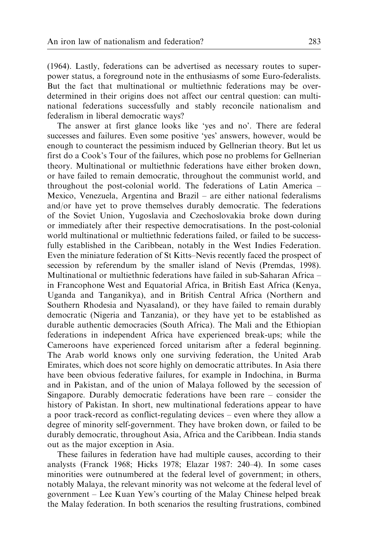(1964). Lastly, federations can be advertised as necessary routes to superpower status, a foreground note in the enthusiasms of some Euro-federalists. But the fact that multinational or multiethnic federations may be overdetermined in their origins does not affect our central question: can multinational federations successfully and stably reconcile nationalism and federalism in liberal democratic ways?

The answer at first glance looks like 'yes and no'. There are federal successes and failures. Even some positive `yes' answers, however, would be enough to counteract the pessimism induced by Gellnerian theory. But let us first do a Cook's Tour of the failures, which pose no problems for Gellnerian theory. Multinational or multiethnic federations have either broken down, or have failed to remain democratic, throughout the communist world, and throughout the post-colonial world. The federations of Latin America  $-$ Mexico, Venezuela, Argentina and Brazil  $-$  are either national federalisms and/or have yet to prove themselves durably democratic. The federations of the Soviet Union, Yugoslavia and Czechoslovakia broke down during or immediately after their respective democratisations. In the post-colonial world multinational or multiethnic federations failed, or failed to be successfully established in the Caribbean, notably in the West Indies Federation. Even the miniature federation of St Kitts–Nevis recently faced the prospect of secession by referendum by the smaller island of Nevis (Premdas, 1998). Multinational or multiethnic federations have failed in sub-Saharan Africa  $$ in Francophone West and Equatorial Africa, in British East Africa (Kenya, Uganda and Tanganikya), and in British Central Africa (Northern and Southern Rhodesia and Nyasaland), or they have failed to remain durably democratic (Nigeria and Tanzania), or they have yet to be established as durable authentic democracies (South Africa). The Mali and the Ethiopian federations in independent Africa have experienced break-ups; while the Cameroons have experienced forced unitarism after a federal beginning. The Arab world knows only one surviving federation, the United Arab Emirates, which does not score highly on democratic attributes. In Asia there have been obvious federative failures, for example in Indochina, in Burma and in Pakistan, and of the union of Malaya followed by the secession of Singapore. Durably democratic federations have been rare  $-\overline{\ }$  consider the history of Pakistan. In short, new multinational federations appear to have a poor track-record as conflict-regulating devices  $-$  even where they allow a degree of minority self-government. They have broken down, or failed to be durably democratic, throughout Asia, Africa and the Caribbean. India stands out as the major exception in Asia.

These failures in federation have had multiple causes, according to their analysts (Franck 1968; Hicks 1978; Elazar 1987: 240–4). In some cases minorities were outnumbered at the federal level of government; in others, notably Malaya, the relevant minority was not welcome at the federal level of government - Lee Kuan Yew's courting of the Malay Chinese helped break the Malay federation. In both scenarios the resulting frustrations, combined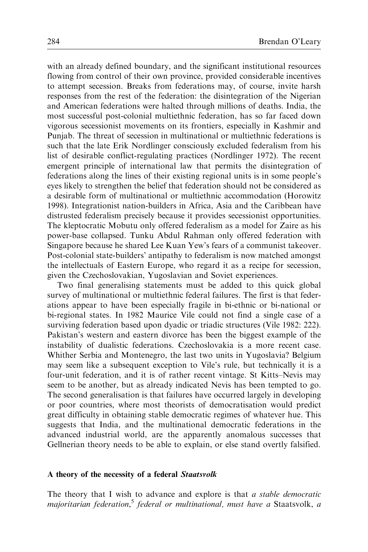with an already defined boundary, and the significant institutional resources flowing from control of their own province, provided considerable incentives to attempt secession. Breaks from federations may, of course, invite harsh responses from the rest of the federation: the disintegration of the Nigerian and American federations were halted through millions of deaths. India, the most successful post-colonial multiethnic federation, has so far faced down vigorous secessionist movements on its frontiers, especially in Kashmir and Punjab. The threat of secession in multinational or multiethnic federations is such that the late Erik Nordlinger consciously excluded federalism from his list of desirable conflict-regulating practices (Nordlinger 1972). The recent emergent principle of international law that permits the disintegration of federations along the lines of their existing regional units is in some people's eyes likely to strengthen the belief that federation should not be considered as a desirable form of multinational or multiethnic accommodation (Horowitz 1998). Integrationist nation-builders in Africa, Asia and the Caribbean have distrusted federalism precisely because it provides secessionist opportunities. The kleptocratic Mobutu only offered federalism as a model for Zaire as his power-base collapsed. Tunku Abdul Rahman only offered federation with Singapore because he shared Lee Kuan Yew's fears of a communist takeover. Post-colonial state-builders' antipathy to federalism is now matched amongst the intellectuals of Eastern Europe, who regard it as a recipe for secession, given the Czechoslovakian, Yugoslavian and Soviet experiences.

Two final generalising statements must be added to this quick global survey of multinational or multiethnic federal failures. The first is that federations appear to have been especially fragile in bi-ethnic or bi-national or bi-regional states. In 1982 Maurice Vile could not find a single case of a surviving federation based upon dyadic or triadic structures (Vile 1982: 222). Pakistan's western and eastern divorce has been the biggest example of the instability of dualistic federations. Czechoslovakia is a more recent case. Whither Serbia and Montenegro, the last two units in Yugoslavia? Belgium may seem like a subsequent exception to Vile's rule, but technically it is a four-unit federation, and it is of rather recent vintage. St Kitts-Nevis may seem to be another, but as already indicated Nevis has been tempted to go. The second generalisation is that failures have occurred largely in developing or poor countries, where most theorists of democratisation would predict great difficulty in obtaining stable democratic regimes of whatever hue. This suggests that India, and the multinational democratic federations in the advanced industrial world, are the apparently anomalous successes that Gellnerian theory needs to be able to explain, or else stand overtly falsified.

#### A theory of the necessity of a federal Staatsvolk

The theory that I wish to advance and explore is that a stable democratic majoritarian federation,<sup>5</sup> federal or multinational, must have a Staatsvolk, a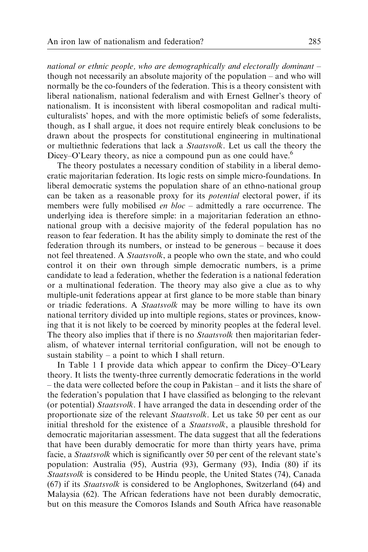national or ethnic people, who are demographically and electorally dominant  $$ though not necessarily an absolute majority of the population  $-$  and who will normally be the co-founders of the federation. This is a theory consistent with liberal nationalism, national federalism and with Ernest Gellner's theory of nationalism. It is inconsistent with liberal cosmopolitan and radical multiculturalists' hopes, and with the more optimistic beliefs of some federalists, though, as I shall argue, it does not require entirely bleak conclusions to be drawn about the prospects for constitutional engineering in multinational or multiethnic federations that lack a Staatsvolk. Let us call the theory the Dicey–O'Leary theory, as nice a compound pun as one could have.<sup>6</sup>

The theory postulates a necessary condition of stability in a liberal democratic majoritarian federation. Its logic rests on simple micro-foundations. In liberal democratic systems the population share of an ethno-national group can be taken as a reasonable proxy for its potential electoral power, if its members were fully mobilised *en bloc*  $-$  admittedly a rare occurrence. The underlying idea is therefore simple: in a majoritarian federation an ethnonational group with a decisive majority of the federal population has no reason to fear federation. It has the ability simply to dominate the rest of the  $f$ ederation through its numbers, or instead to be generous  $-$  because it does not feel threatened. A Staatsvolk, a people who own the state, and who could control it on their own through simple democratic numbers, is a prime candidate to lead a federation, whether the federation is a national federation or a multinational federation. The theory may also give a clue as to why multiple-unit federations appear at first glance to be more stable than binary or triadic federations. A Staatsvolk may be more willing to have its own national territory divided up into multiple regions, states or provinces, knowing that it is not likely to be coerced by minority peoples at the federal level. The theory also implies that if there is no *Staatsvolk* then majoritarian federalism, of whatever internal territorial configuration, will not be enough to sustain stability  $-$  a point to which I shall return.

In Table 1 I provide data which appear to confirm the Dicey–O'Leary theory. It lists the twenty-three currently democratic federations in the world  $-$  the data were collected before the coup in Pakistan  $-$  and it lists the share of the federation's population that I have classified as belonging to the relevant (or potential) Staatsvolk. I have arranged the data in descending order of the proportionate size of the relevant Staatsvolk. Let us take 50 per cent as our initial threshold for the existence of a Staatsvolk, a plausible threshold for democratic majoritarian assessment. The data suggest that all the federations that have been durably democratic for more than thirty years have, prima facie, a Staatsvolk which is significantly over 50 per cent of the relevant state's population: Australia (95), Austria (93), Germany (93), India (80) if its Staatsvolk is considered to be Hindu people, the United States (74), Canada (67) if its Staatsvolk is considered to be Anglophones, Switzerland (64) and Malaysia (62). The African federations have not been durably democratic, but on this measure the Comoros Islands and South Africa have reasonable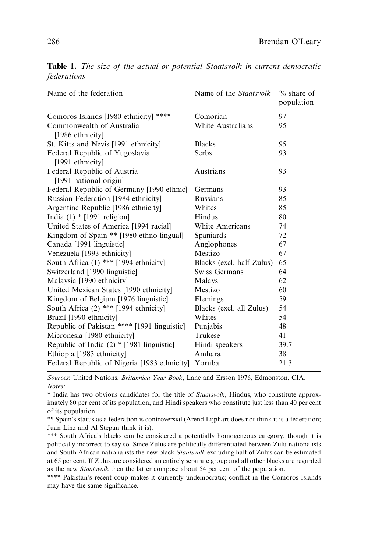| Name of the federation                        | Name of the <i>Staatsvolk</i> | $%$ share of<br>population |
|-----------------------------------------------|-------------------------------|----------------------------|
| Comoros Islands [1980 ethnicity] ****         | Comorian                      | 97                         |
| Commonwealth of Australia<br>[1986 ethnicity] | White Australians             | 95                         |
| St. Kitts and Nevis [1991 ethnicity]          | <b>Blacks</b>                 | 95                         |
| Federal Republic of Yugoslavia                | Serbs                         | 93                         |
| [1991 ethnicity]                              |                               |                            |
| Federal Republic of Austria                   | Austrians                     | 93                         |
| [1991 national origin]                        |                               |                            |
| Federal Republic of Germany [1990 ethnic]     | Germans                       | 93                         |
| Russian Federation [1984 ethnicity]           | Russians                      | 85                         |
| Argentine Republic [1986 ethnicity]           | Whites                        | 85                         |
| India $(1)$ * [1991 religion]                 | Hindus                        | 80                         |
| United States of America [1994 racial]        | <b>White Americans</b>        | 74                         |
| Kingdom of Spain ** [1980 ethno-lingual]      | Spaniards                     | 72                         |
| Canada [1991 linguistic]                      | Anglophones                   | 67                         |
| Venezuela [1993 ethnicity]                    | Mestizo                       | 67                         |
| South Africa (1) *** [1994 ethnicity]         | Blacks (excl. half Zulus)     | 65                         |
| Switzerland [1990 linguistic]                 | Swiss Germans                 | 64                         |
| Malaysia [1990 ethnicity]                     | Malays                        | 62                         |
| United Mexican States [1990 ethnicity]        | Mestizo                       | 60                         |
| Kingdom of Belgium [1976 linguistic]          | Flemings                      | 59                         |
| South Africa $(2)$ *** [1994 ethnicity]       | Blacks (excl. all Zulus)      | 54                         |
| Brazil [1990 ethnicity]                       | Whites                        | 54                         |
| Republic of Pakistan **** [1991 linguistic]   | Punjabis                      | 48                         |
| Micronesia [1980 ethnicity]                   | Trukese                       | 41                         |
| Republic of India $(2)$ * [1981 linguistic]   | Hindi speakers                | 39.7                       |
| Ethiopia [1983 ethnicity]                     | Amhara                        | 38                         |
| Federal Republic of Nigeria [1983 ethnicity]  | Yoruba                        | 21.3                       |

Table 1. The size of the actual or potential Staatsvolk in current democratic federations

Sources: United Nations, Britannica Year Book, Lane and Ersson 1976, Edmonston, CIA. Notes:

\* India has two obvious candidates for the title of Staatsvolk, Hindus, who constitute approximately 80 per cent of its population, and Hindi speakers who constitute just less than 40 per cent of its population.

\*\* Spain's status as a federation is controversial (Arend Lijphart does not think it is a federation; Juan Linz and Al Stepan think it is).

\*\*\* South Africa's blacks can be considered a potentially homogeneous category, though it is politically incorrect to say so. Since Zulus are politically differentiated between Zulu nationalists and South African nationalists the new black Staatsvolk excluding half of Zulus can be estimated at 65 per cent. If Zulus are considered an entirely separate group and all other blacks are regarded as the new Staatsvolk then the latter compose about 54 per cent of the population.

\*\*\*\* Pakistan's recent coup makes it currently undemocratic; conflict in the Comoros Islands may have the same significance.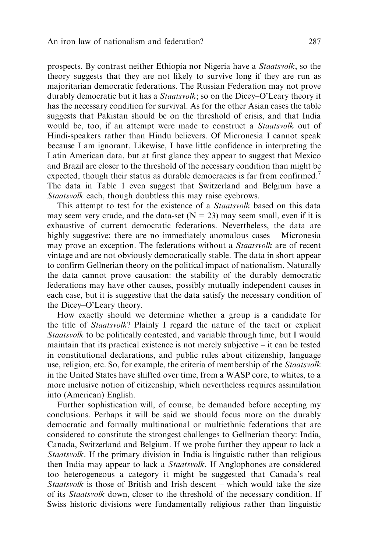prospects. By contrast neither Ethiopia nor Nigeria have a Staatsvolk, so the theory suggests that they are not likely to survive long if they are run as majoritarian democratic federations. The Russian Federation may not prove durably democratic but it has a *Staatsvolk*; so on the Dicey–O'Leary theory it has the necessary condition for survival. As for the other Asian cases the table suggests that Pakistan should be on the threshold of crisis, and that India would be, too, if an attempt were made to construct a *Staatsvolk* out of Hindi-speakers rather than Hindu believers. Of Micronesia I cannot speak because I am ignorant. Likewise, I have little confidence in interpreting the Latin American data, but at first glance they appear to suggest that Mexico and Brazil are closer to the threshold of the necessary condition than might be expected, though their status as durable democracies is far from confirmed.<sup>7</sup> The data in Table 1 even suggest that Switzerland and Belgium have a Staatsvolk each, though doubtless this may raise eyebrows.

This attempt to test for the existence of a *Staatsvolk* based on this data may seem very crude, and the data-set  $(N = 23)$  may seem small, even if it is exhaustive of current democratic federations. Nevertheless, the data are highly suggestive; there are no immediately anomalous cases  $-\text{Micronesia}$ may prove an exception. The federations without a Staatsvolk are of recent vintage and are not obviously democratically stable. The data in short appear to confirm Gellnerian theory on the political impact of nationalism. Naturally the data cannot prove causation: the stability of the durably democratic federations may have other causes, possibly mutually independent causes in each case, but it is suggestive that the data satisfy the necessary condition of the Dicey–O'Leary theory.

How exactly should we determine whether a group is a candidate for the title of Staatsvolk? Plainly I regard the nature of the tacit or explicit Staatsvolk to be politically contested, and variable through time, but I would maintain that its practical existence is not merely subjective  $-$  it can be tested in constitutional declarations, and public rules about citizenship, language use, religion, etc. So, for example, the criteria of membership of the *Staatsvolk* in the United States have shifted over time, from a WASP core, to whites, to a more inclusive notion of citizenship, which nevertheless requires assimilation into (American) English.

Further sophistication will, of course, be demanded before accepting my conclusions. Perhaps it will be said we should focus more on the durably democratic and formally multinational or multiethnic federations that are considered to constitute the strongest challenges to Gellnerian theory: India, Canada, Switzerland and Belgium. If we probe further they appear to lack a Staatsvolk. If the primary division in India is linguistic rather than religious then India may appear to lack a Staatsvolk. If Anglophones are considered too heterogeneous a category it might be suggested that Canada's real *Staatsvolk* is those of British and Irish descent  $-\text{ which would take the size}$ of its Staatsvolk down, closer to the threshold of the necessary condition. If Swiss historic divisions were fundamentally religious rather than linguistic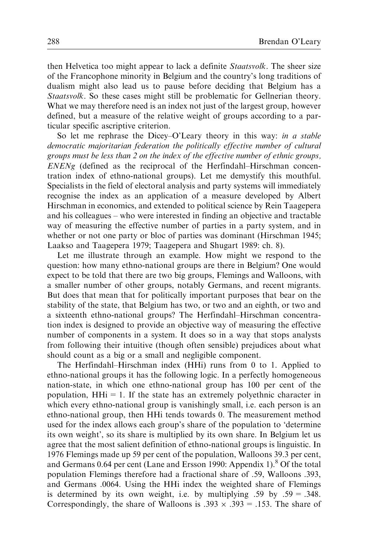then Helvetica too might appear to lack a definite Staatsvolk. The sheer size of the Francophone minority in Belgium and the country's long traditions of dualism might also lead us to pause before deciding that Belgium has a Staatsvolk. So these cases might still be problematic for Gellnerian theory. What we may therefore need is an index not just of the largest group, however defined, but a measure of the relative weight of groups according to a particular specific ascriptive criterion.

So let me rephrase the Dicey–O'Leary theory in this way: in a stable democratic majoritarian federation the politically effective number of cultural groups must be less than 2 on the index of the effective number of ethnic groups,  $ENENg$  (defined as the reciprocal of the Herfindahl-Hirschman concentration index of ethno-national groups). Let me demystify this mouthful. Specialists in the field of electoral analysis and party systems will immediately recognise the index as an application of a measure developed by Albert Hirschman in economics, and extended to political science by Rein Taagepera and his colleagues  $-$  who were interested in finding an objective and tractable way of measuring the effective number of parties in a party system, and in whether or not one party or bloc of parties was dominant (Hirschman 1945; Laakso and Taagepera 1979; Taagepera and Shugart 1989: ch. 8).

Let me illustrate through an example. How might we respond to the question: how many ethno-national groups are there in Belgium? One would expect to be told that there are two big groups, Flemings and Walloons, with a smaller number of other groups, notably Germans, and recent migrants. But does that mean that for politically important purposes that bear on the stability of the state, that Belgium has two, or two and an eighth, or two and a sixteenth ethno-national groups? The Herfindahl-Hirschman concentration index is designed to provide an objective way of measuring the effective number of components in a system. It does so in a way that stops analysts from following their intuitive (though often sensible) prejudices about what should count as a big or a small and negligible component.

The Herfindahl–Hirschman index (HHi) runs from 0 to 1. Applied to ethno-national groups it has the following logic. In a perfectly homogeneous nation-state, in which one ethno-national group has 100 per cent of the population,  $HHi = 1$ . If the state has an extremely polyethnic character in which every ethno-national group is vanishingly small, i.e. each person is an ethno-national group, then HHi tends towards 0. The measurement method used for the index allows each group's share of the population to `determine its own weight', so its share is multiplied by its own share. In Belgium let us agree that the most salient definition of ethno-national groups is linguistic. In 1976 Flemings made up 59 per cent of the population, Walloons 39.3 per cent, and Germans 0.64 per cent (Lane and Ersson 1990: Appendix 1).<sup>8</sup> Of the total population Flemings therefore had a fractional share of .59, Walloons .393, and Germans .0064. Using the HHi index the weighted share of Flemings is determined by its own weight, i.e. by multiplying .59 by .59 = .348. Correspondingly, the share of Walloons is .393  $\times$  .393 = .153. The share of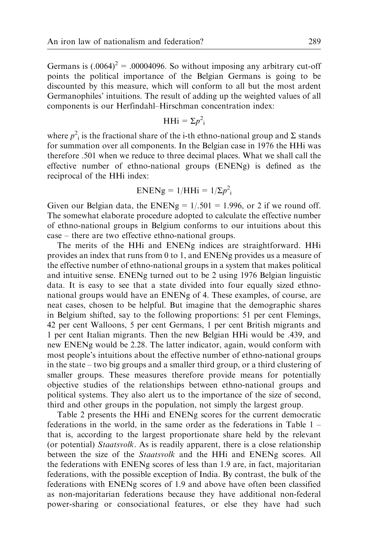Germans is  $(.0064)^2 = .00004096$ . So without imposing any arbitrary cut-off points the political importance of the Belgian Germans is going to be discounted by this measure, which will conform to all but the most ardent Germanophiles' intuitions. The result of adding up the weighted values of all components is our Herfindahl-Hirschman concentration index:

$$
HHi = \Sigma p_{i}^{2}
$$

where  $p^2$  is the fractional share of the i-th ethno-national group and  $\Sigma$  stands for summation over all components. In the Belgian case in 1976 the HHi was therefore .501 when we reduce to three decimal places. What we shall call the effective number of ethno-national groups  $(ENENg)$  is defined as the reciprocal of the HHi index:

$$
ENENg = 1/HHi = 1/\Sigma p^2_i
$$

Given our Belgian data, the ENENg =  $1/.501 = 1.996$ , or 2 if we round off. The somewhat elaborate procedure adopted to calculate the effective number of ethno-national groups in Belgium conforms to our intuitions about this  $case - there are two effective ethno-national groups.$ 

The merits of the HHi and ENENg indices are straightforward. HHi provides an index that runs from 0 to 1, and ENENg provides us a measure of the effective number of ethno-national groups in a system that makes political and intuitive sense. ENENg turned out to be 2 using 1976 Belgian linguistic data. It is easy to see that a state divided into four equally sized ethnonational groups would have an ENENg of 4. These examples, of course, are neat cases, chosen to be helpful. But imagine that the demographic shares in Belgium shifted, say to the following proportions: 51 per cent Flemings, 42 per cent Walloons, 5 per cent Germans, 1 per cent British migrants and 1 per cent Italian migrants. Then the new Belgian HHi would be .439, and new ENENg would be 2.28. The latter indicator, again, would conform with most people's intuitions about the effective number of ethno-national groups in the state  $-\infty$  big groups and a smaller third group, or a third clustering of smaller groups. These measures therefore provide means for potentially objective studies of the relationships between ethno-national groups and political systems. They also alert us to the importance of the size of second, third and other groups in the population, not simply the largest group.

Table 2 presents the HHi and ENENg scores for the current democratic federations in the world, in the same order as the federations in Table  $1$ that is, according to the largest proportionate share held by the relevant (or potential) Staatsvolk. As is readily apparent, there is a close relationship between the size of the *Staatsvolk* and the HHi and ENENg scores. All the federations with ENENg scores of less than 1.9 are, in fact, majoritarian federations, with the possible exception of India. By contrast, the bulk of the federations with ENENg scores of 1.9 and above have often been classified as non-majoritarian federations because they have additional non-federal power-sharing or consociational features, or else they have had such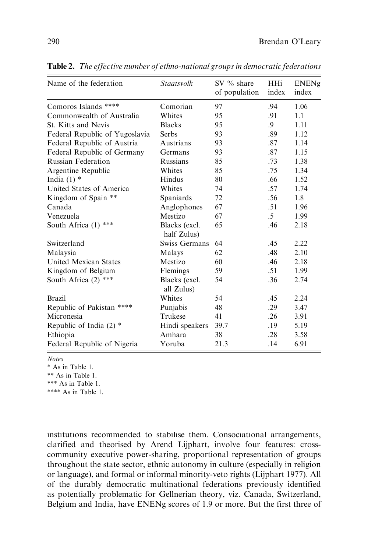| Name of the federation         | <b>Staatsvolk</b>           | SV % share<br>of population | <b>HHi</b><br>index | <b>ENENg</b><br>index |
|--------------------------------|-----------------------------|-----------------------------|---------------------|-----------------------|
| Comoros Islands ****           | Comorian                    | 97                          | .94                 | 1.06                  |
| Commonwealth of Australia      | Whites                      | 95                          | .91                 | 1.1                   |
| St. Kitts and Nevis            | <b>Blacks</b>               | 95                          | .9                  | 1.11                  |
| Federal Republic of Yugoslavia | <b>Serbs</b>                | 93                          | .89                 | 1.12                  |
| Federal Republic of Austria    | Austrians                   | 93                          | .87                 | 1.14                  |
| Federal Republic of Germany    | Germans                     | 93                          | .87                 | 1.15                  |
| <b>Russian Federation</b>      | Russians                    | 85                          | .73                 | 1.38                  |
| Argentine Republic             | Whites                      | 85                          | .75                 | 1.34                  |
| India $(1)$ *                  | Hindus                      | 80                          | .66                 | 1.52                  |
| United States of America       | Whites                      | 74                          | .57                 | 1.74                  |
| Kingdom of Spain **            | Spaniards                   | 72                          | .56                 | 1.8                   |
| Canada                         | Anglophones                 | 67                          | .51                 | 1.96                  |
| Venezuela                      | Mestizo                     | 67                          | $.5\,$              | 1.99                  |
| South Africa (1) ***           | Blacks (excl.               | 65                          | .46                 | 2.18                  |
|                                | half Zulus)                 |                             |                     |                       |
| Switzerland                    | Swiss Germans               | 64                          | .45                 | 2.22                  |
| Malaysia                       | Malays                      | 62                          | .48                 | 2.10                  |
| <b>United Mexican States</b>   | Mestizo                     | 60                          | .46                 | 2.18                  |
| Kingdom of Belgium             | Flemings                    | 59                          | .51                 | 1.99                  |
| South Africa (2) ***           | Blacks (excl.<br>all Zulus) | 54                          | .36                 | 2.74                  |
| <b>Brazil</b>                  | Whites                      | 54                          | .45                 | 2.24                  |
| Republic of Pakistan ****      | Punjabis                    | 48                          | .29                 | 3.47                  |
| Micronesia                     | Trukese                     | 41                          | .26                 | 3.91                  |
| Republic of India $(2)$ *      | Hindi speakers              | 39.7                        | .19                 | 5.19                  |
| Ethiopia                       | Amhara                      | 38                          | .28                 | 3.58                  |
| Federal Republic of Nigeria    | Yoruba                      | 21.3                        | .14                 | 6.91                  |

Table 2. The effective number of ethno-national groups in democratic federations

Notes

\* As in Table 1. \*\* As in Table 1. \*\*\* As in Table 1.

\*\*\*\* As in Table 1.

institutions recommended to stabilise them. Consociational arrangements, clarified and theorised by Arend Lijphart, involve four features: crosscommunity executive power-sharing, proportional representation of groups throughout the state sector, ethnic autonomy in culture (especially in religion or language), and formal or informal minority-veto rights (Lijphart 1977). All of the durably democratic multinational federations previously identified as potentially problematic for Gellnerian theory, viz. Canada, Switzerland, Belgium and India, have ENENg scores of 1.9 or more. But the first three of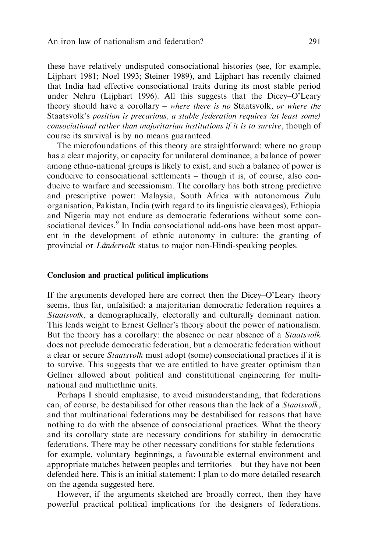these have relatively undisputed consociational histories (see, for example, Lijphart 1981; Noel 1993; Steiner 1989), and Lijphart has recently claimed that India had effective consociational traits during its most stable period under Nehru (Lijphart 1996). All this suggests that the Dicey-O'Leary theory should have a corollary  $-$  where there is no Staatsvolk, or where the Staatsvolk's position is precarious, a stable federation requires (at least some) consociational rather than majoritarian institutions if it is to survive, though of course its survival is by no means guaranteed.

The microfoundations of this theory are straightforward: where no group has a clear majority, or capacity for unilateral dominance, a balance of power among ethno-national groups is likely to exist, and such a balance of power is conducive to consociational settlements  $-$  though it is, of course, also conducive to warfare and secessionism. The corollary has both strong predictive and prescriptive power: Malaysia, South Africa with autonomous Zulu organisation, Pakistan, India (with regard to its linguistic cleavages), Ethiopia and Nigeria may not endure as democratic federations without some consociational devices.<sup>9</sup> In India consociational add-ons have been most apparent in the development of ethnic autonomy in culture: the granting of provincial or *Ländervolk* status to major non-Hindi-speaking peoples.

#### Conclusion and practical political implications

If the arguments developed here are correct then the Dicey $-\text{O}'$ Leary theory seems, thus far, unfalsified: a majoritarian democratic federation requires a Staatsvolk, a demographically, electorally and culturally dominant nation. This lends weight to Ernest Gellner's theory about the power of nationalism. But the theory has a corollary: the absence or near absence of a *Staatsvolk* does not preclude democratic federation, but a democratic federation without a clear or secure Staatsvolk must adopt (some) consociational practices if it is to survive. This suggests that we are entitled to have greater optimism than Gellner allowed about political and constitutional engineering for multinational and multiethnic units.

Perhaps I should emphasise, to avoid misunderstanding, that federations can, of course, be destabilised for other reasons than the lack of a Staatsvolk, and that multinational federations may be destabilised for reasons that have nothing to do with the absence of consociational practices. What the theory and its corollary state are necessary conditions for stability in democratic federations. There may be other necessary conditions for stable federations  $$ for example, voluntary beginnings, a favourable external environment and appropriate matches between peoples and territories  $-$  but they have not been defended here. This is an initial statement: I plan to do more detailed research on the agenda suggested here.

However, if the arguments sketched are broadly correct, then they have powerful practical political implications for the designers of federations.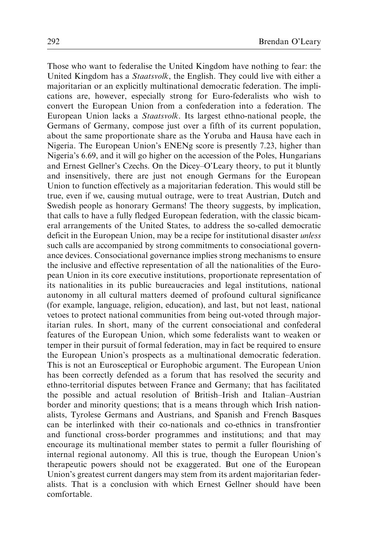Those who want to federalise the United Kingdom have nothing to fear: the United Kingdom has a Staatsvolk, the English. They could live with either a majoritarian or an explicitly multinational democratic federation. The implications are, however, especially strong for Euro-federalists who wish to convert the European Union from a confederation into a federation. The European Union lacks a Staatsvolk. Its largest ethno-national people, the Germans of Germany, compose just over a fifth of its current population, about the same proportionate share as the Yoruba and Hausa have each in Nigeria. The European Union's ENENg score is presently 7.23, higher than Nigeria's 6.69, and it will go higher on the accession of the Poles, Hungarians and Ernest Gellner's Czechs. On the Dicey–O'Leary theory, to put it bluntly and insensitively, there are just not enough Germans for the European Union to function effectively as a majoritarian federation. This would still be true, even if we, causing mutual outrage, were to treat Austrian, Dutch and Swedish people as honorary Germans! The theory suggests, by implication, that calls to have a fully fledged European federation, with the classic bicameral arrangements of the United States, to address the so-called democratic deficit in the European Union, may be a recipe for institutional disaster *unless* such calls are accompanied by strong commitments to consociational governance devices. Consociational governance implies strong mechanisms to ensure the inclusive and effective representation of all the nationalities of the European Union in its core executive institutions, proportionate representation of its nationalities in its public bureaucracies and legal institutions, national autonomy in all cultural matters deemed of profound cultural significance (for example, language, religion, education), and last, but not least, national vetoes to protect national communities from being out-voted through majoritarian rules. In short, many of the current consociational and confederal features of the European Union, which some federalists want to weaken or temper in their pursuit of formal federation, may in fact be required to ensure the European Union's prospects as a multinational democratic federation. This is not an Eurosceptical or Europhobic argument. The European Union has been correctly defended as a forum that has resolved the security and ethno-territorial disputes between France and Germany; that has facilitated the possible and actual resolution of British-Irish and Italian-Austrian border and minority questions; that is a means through which Irish nationalists, Tyrolese Germans and Austrians, and Spanish and French Basques can be interlinked with their co-nationals and co-ethnics in transfrontier and functional cross-border programmes and institutions; and that may encourage its multinational member states to permit a fuller flourishing of internal regional autonomy. All this is true, though the European Union's therapeutic powers should not be exaggerated. But one of the European Union's greatest current dangers may stem from its ardent majoritarian federalists. That is a conclusion with which Ernest Gellner should have been comfortable.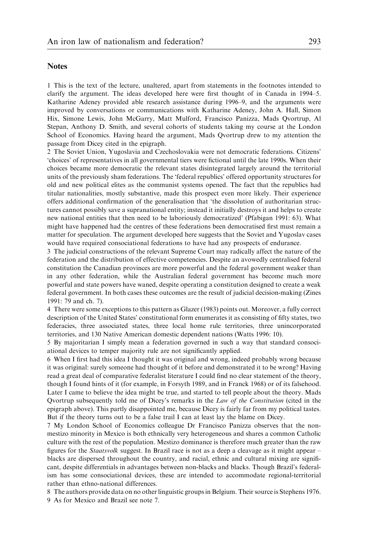#### Notes

1 This is the text of the lecture, unaltered, apart from statements in the footnotes intended to clarify the argument. The ideas developed here were first thought of in Canada in 1994-5. Katharine Adeney provided able research assistance during 1996–9, and the arguments were improved by conversations or communications with Katharine Adeney, John A. Hall, Simon Hix, Simone Lewis, John McGarry, Matt Mulford, Francisco Panizza, Mads Qvortrup, Al Stepan, Anthony D. Smith, and several cohorts of students taking my course at the London School of Economics. Having heard the argument, Mads Qvortrup drew to my attention the passage from Dicey cited in the epigraph.

2 The Soviet Union, Yugoslavia and Czechoslovakia were not democratic federations. Citizens' `choices' of representatives in all governmental tiers were ®ctional until the late 1990s. When their choices became more democratic the relevant states disintegrated largely around the territorial units of the previously sham federations. The `federal republics' offered opportunity structures for old and new political elites as the communist systems opened. The fact that the republics had titular nationalities, mostly substantive, made this prospect even more likely. Their experience offers additional confirmation of the generalisation that 'the dissolution of authoritarian structures cannot possibly save a supranational entity; instead it initially destroys it and helps to create new national entities that then need to be laboriously democratized' (Pfabigan 1991: 63). What might have happened had the centres of these federations been democratised first must remain a matter for speculation. The argument developed here suggests that the Soviet and Yugoslav cases would have required consociational federations to have had any prospects of endurance.

3 The judicial constructions of the relevant Supreme Court may radically affect the nature of the federation and the distribution of effective competencies. Despite an avowedly centralised federal constitution the Canadian provinces are more powerful and the federal government weaker than in any other federation, while the Australian federal government has become much more powerful and state powers have waned, despite operating a constitution designed to create a weak federal government. In both cases these outcomes are the result of judicial decision-making (Zines 1991: 79 and ch. 7).

4 There were some exceptions to this pattern as Glazer (1983) points out. Moreover, a fully correct description of the United States' constitutional form enumerates it as consisting of fifty states, two federacies, three associated states, three local home rule territories, three unincorporated territories, and 130 Native American domestic dependent nations (Watts 1996: 10).

5 By majoritarian I simply mean a federation governed in such a way that standard consociational devices to temper majority rule are not significantly applied.

6 When I first had this idea I thought it was original and wrong, indeed probably wrong because it was original: surely someone had thought of it before and demonstrated it to be wrong? Having read a great deal of comparative federalist literature I could find no clear statement of the theory, though I found hints of it (for example, in Forsyth 1989, and in Franck 1968) or of its falsehood. Later I came to believe the idea might be true, and started to tell people about the theory. Mads Qvortrup subsequently told me of Dicey's remarks in the Law of the Constitution (cited in the epigraph above). This partly disappointed me, because Dicey is fairly far from my political tastes. But if the theory turns out to be a false trail I can at least lay the blame on Dicey.

7 My London School of Economics colleague Dr Francisco Panizza observes that the nonmestizo minority in Mexico is both ethnically very heterogeneous and shares a common Catholic culture with the rest of the population. Mestizo dominance is therefore much greater than the raw figures for the *Staatsvolk* suggest. In Brazil race is not as a deep a cleavage as it might appear  $$ blacks are dispersed throughout the country, and racial, ethnic and cultural mixing are significant, despite differentials in advantages between non-blacks and blacks. Though Brazil's federalism has some consociational devices, these are intended to accommodate regional-territorial rather than ethno-national differences.

8 The authors provide data on no otherlinguistic groupsin Belgium. Theirsource is Stephens 1976.

9 As for Mexico and Brazil see note 7.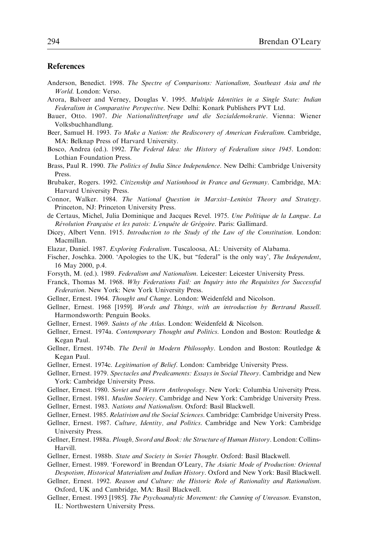#### References

- Anderson, Benedict. 1998. The Spectre of Comparisons: Nationalism, Southeast Asia and the World. London: Verso.
- Arora, Balveer and Verney, Douglas V. 1995. Multiple Identities in a Single State: Indian Federalism in Comparative Perspective. New Delhi: Konark Publishers PVT Ltd.
- Bauer, Otto. 1907. Die Nationalitätenfrage und die Sozialdemokratie. Vienna: Wiener Volksbuchhandlung.
- Beer, Samuel H. 1993. To Make a Nation: the Rediscovery of American Federalism. Cambridge, MA: Belknap Press of Harvard University.
- Bosco, Andrea (ed.). 1992. The Federal Idea: the History of Federalism since 1945. London: Lothian Foundation Press.
- Brass, Paul R. 1990. The Politics of India Since Independence. New Delhi: Cambridge University Press.
- Brubaker, Rogers. 1992. Citizenship and Nationhood in France and Germany. Cambridge, MA: Harvard University Press.
- Connor, Walker. 1984. The National Question in Marxist-Leninist Theory and Strategy. Princeton, NJ: Princeton University Press.
- de Certaus, Michel, Julia Dominique and Jacques Revel. 1975. Une Politique de la Langue. La Révolution Française et les patois: L'enquête de Grégoire. Paris: Gallimard.
- Dicey, Albert Venn. 1915. Introduction to the Study of the Law of the Constitution. London: Macmillan.
- Elazar, Daniel. 1987. Exploring Federalism. Tuscaloosa, AL: University of Alabama.
- Fischer, Joschka. 2000. 'Apologies to the UK, but "federal" is the only way', The Independent, 16 May 2000, p.4.
- Forsyth, M. (ed.). 1989. Federalism and Nationalism. Leicester: Leicester University Press.
- Franck, Thomas M. 1968. Why Federations Fail: an Inquiry into the Requisites for Successful Federation. New York: New York University Press.
- Gellner, Ernest. 1964. Thought and Change. London: Weidenfeld and Nicolson.
- Gellner, Ernest. 1968 [1959]. Words and Things, with an introduction by Bertrand Russell. Harmondsworth: Penguin Books.
- Gellner, Ernest. 1969. Saints of the Atlas. London: Weidenfeld & Nicolson.
- Gellner, Ernest. 1974a. Contemporary Thought and Politics. London and Boston: Routledge & Kegan Paul.
- Gellner, Ernest. 1974b. The Devil in Modern Philosophy. London and Boston: Routledge & Kegan Paul.
- Gellner, Ernest. 1974c. Legitimation of Belief. London: Cambridge University Press.
- Gellner, Ernest. 1979. Spectacles and Predicaments: Essays in Social Theory. Cambridge and New York: Cambridge University Press.
- Gellner, Ernest. 1980. Soviet and Western Anthropology. New York: Columbia University Press.
- Gellner, Ernest. 1981. Muslim Society. Cambridge and New York: Cambridge University Press.

Gellner, Ernest. 1983. Nations and Nationalism. Oxford: Basil Blackwell.

- Gellner, Ernest. 1985. Relativism and the Social Sciences. Cambridge: Cambridge University Press.
- Gellner, Ernest. 1987. Culture, Identity, and Politics. Cambridge and New York: Cambridge University Press.
- Gellner, Ernest. 1988a. Plough, Sword and Book: the Structure of Human History. London: Collins-Harvill.
- Gellner, Ernest. 1988b. State and Society in Soviet Thought. Oxford: Basil Blackwell.
- Gellner, Ernest. 1989. 'Foreword' in Brendan O'Leary, The Asiatic Mode of Production: Oriental Despotism, Historical Materialism and Indian History. Oxford and New York: Basil Blackwell.
- Gellner, Ernest. 1992. Reason and Culture: the Historic Role of Rationality and Rationalism. Oxford, UK and Cambridge, MA: Basil Blackwell.
- Gellner, Ernest. 1993 [1985]. The Psychoanalytic Movement: the Cunning of Unreason. Evanston, IL: Northwestern University Press.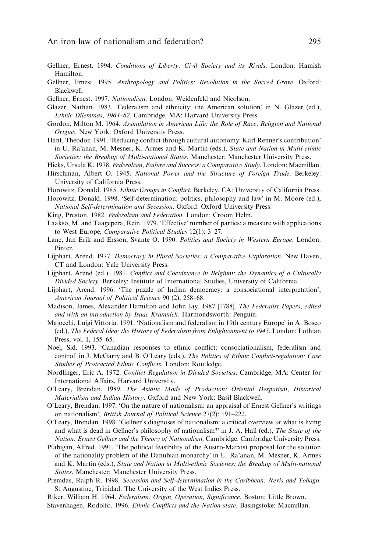- Gellner, Ernest. 1994. Conditions of Liberty: Civil Society and its Rivals. London: Hamish Hamilton.
- Gellner, Ernest. 1995. Anthropology and Politics: Revolution in the Sacred Grove. Oxford: Blackwell.

Gellner, Ernest. 1997. Nationalism. London: Weidenfeld and Nicolson.

- Glazer, Nathan. 1983. `Federalism and ethnicity: the American solution' in N. Glazer (ed.), Ethnic Dilemmas, 1964-82. Cambridge, MA: Harvard University Press.
- Gordon, Milton M. 1964. Assimilation in American Life: the Role of Race, Religion and National Origins. New York: Oxford University Press.
- Hanf, Theodor. 1991. 'Reducing conflict through cultural autonomy: Karl Renner's contribution' in U. Ra'anan, M. Mesner, K. Armes and K. Martin (eds.), State and Nation in Multi-ethnic Societies: the Breakup of Multi-national States. Manchester: Manchester University Press.
- Hicks, Ursula K. 1978. Federalism, Failure and Success: a Comparative Study. London: Macmillan.
- Hirschman, Albert O. 1945. National Power and the Structure of Foreign Trade. Berkeley: University of California Press.

Horowitz, Donald. 1985. Ethnic Groups in Conflict. Berkeley, CA: University of California Press.

- Horowitz, Donald. 1998. `Self-determination: politics, philosophy and law' in M. Moore (ed.), National Self-determination and Secession. Oxford: Oxford University Press.
- King, Preston. 1982. Federalism and Federation. London: Croom Helm.
- Laakso, M. and Taagepera, Rein. 1979. `Effective' number of parties: a measure with applications to West Europe, *Comparative Political Studies* 12(1): 3-27.
- Lane, Jan Erik and Ersson, Svante O. 1990. Politics and Society in Western Europe. London: Pinter.
- Lijphart, Arend. 1977. Democracy in Plural Societies: a Comparative Exploration. New Haven, CT and London: Yale University Press.
- Lijphart, Arend (ed.). 1981. Conflict and Coexistence in Belgium: the Dynamics of a Culturally Divided Society. Berkeley: Institute of International Studies, University of California.
- Lijphart, Arend. 1996. `The puzzle of Indian democracy: a consociational interpretation', American Journal of Political Science 90 (2), 258-68.
- Madison, James, Alexander Hamilton and John Jay. 1987 [1788]. The Federalist Papers, edited and with an introduction by Isaac Kramnick. Harmondsworth: Penguin.
- Majocchi, Luigi Vittoria. 1991. `Nationalism and federalism in 19th century Europe' in A. Bosco (ed.), The Federal Idea: the History of Federalism from Enlightenment to 1945. London: Lothian Press, vol. I, 155-65.
- Noel, Sid. 1993. 'Canadian responses to ethnic conflict: consociationalism, federalism and control' in J. McGarry and B. O'Leary (eds.), The Politics of Ethnic Conflict-regulation: Case Studies of Protracted Ethnic Conflicts. London: Routledge.
- Nordlinger, Eric A. 1972. Conflict Regulation in Divided Societies. Cambridge, MA: Center for International Affairs, Harvard University.
- O'Leary, Brendan. 1989. The Asiatic Mode of Production: Oriental Despotism, Historical Materialism and Indian History. Oxford and New York: Basil Blackwell.
- O'Leary, Brendan. 1997. `On the nature of nationalism: an appraisal of Ernest Gellner's writings on nationalism', *British Journal of Political Science 27(2)*: 191-222.
- O'Leary, Brendan. 1998. `Gellner's diagnoses of nationalism: a critical overview or what is living and what is dead in Gellner's philosophy of nationalism?' in J. A. Hall (ed.), The State of the Nation: Ernest Gellner and the Theory of Nationalism. Cambridge: Cambridge University Press.
- Pfabigan, Alfred. 1991. `The political feasibility of the Austro-Marxist proposal for the solution of the nationality problem of the Danubian monarchy' in U. Ra'anan, M. Mesner, K. Armes and K. Martin (eds.), State and Nation in Multi-ethnic Societies: the Breakup of Multi-national States. Manchester: Manchester University Press.
- Premdas, Ralph R. 1998. Secession and Self-determination in the Caribbean: Nevis and Tobago. St Augustine, Trinidad: The University of the West Indies Press.

Riker, William H. 1964. Federalism: Origin, Operation, Significance. Boston: Little Brown.

Stavenhagen, Rodolfo. 1996. Ethnic Conflicts and the Nation-state. Basingstoke: Macmillan.